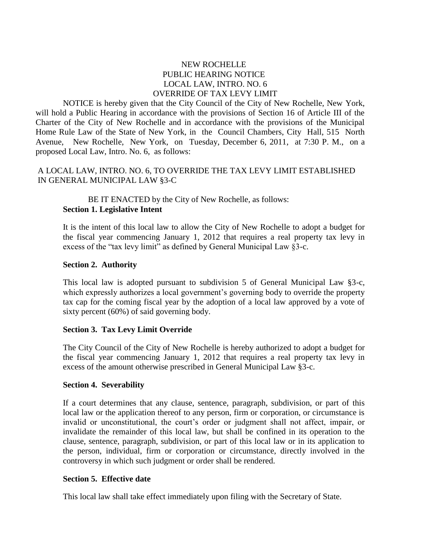# NEW ROCHELLE PUBLIC HEARING NOTICE LOCAL LAW, INTRO. NO. 6 OVERRIDE OF TAX LEVY LIMIT

NOTICE is hereby given that the City Council of the City of New Rochelle, New York, will hold a Public Hearing in accordance with the provisions of Section 16 of Article III of the Charter of the City of New Rochelle and in accordance with the provisions of the Municipal Home Rule Law of the State of New York, in the Council Chambers, City Hall, 515 North Avenue, New Rochelle, New York, on Tuesday, December 6, 2011, at 7:30 P. M., on a proposed Local Law, Intro. No. 6, as follows:

# A LOCAL LAW, INTRO. NO. 6, TO OVERRIDE THE TAX LEVY LIMIT ESTABLISHED IN GENERAL MUNICIPAL LAW §3-C

BE IT ENACTED by the City of New Rochelle, as follows: **Section 1. Legislative Intent**

It is the intent of this local law to allow the City of New Rochelle to adopt a budget for the fiscal year commencing January 1, 2012 that requires a real property tax levy in excess of the "tax levy limit" as defined by General Municipal Law §3-c.

### **Section 2. Authority**

This local law is adopted pursuant to subdivision 5 of General Municipal Law §3-c, which expressly authorizes a local government's governing body to override the property tax cap for the coming fiscal year by the adoption of a local law approved by a vote of sixty percent (60%) of said governing body.

### **Section 3. Tax Levy Limit Override**

The City Council of the City of New Rochelle is hereby authorized to adopt a budget for the fiscal year commencing January 1, 2012 that requires a real property tax levy in excess of the amount otherwise prescribed in General Municipal Law §3-c.

### **Section 4. Severability**

If a court determines that any clause, sentence, paragraph, subdivision, or part of this local law or the application thereof to any person, firm or corporation, or circumstance is invalid or unconstitutional, the court's order or judgment shall not affect, impair, or invalidate the remainder of this local law, but shall be confined in its operation to the clause, sentence, paragraph, subdivision, or part of this local law or in its application to the person, individual, firm or corporation or circumstance, directly involved in the controversy in which such judgment or order shall be rendered.

### **Section 5. Effective date**

This local law shall take effect immediately upon filing with the Secretary of State.